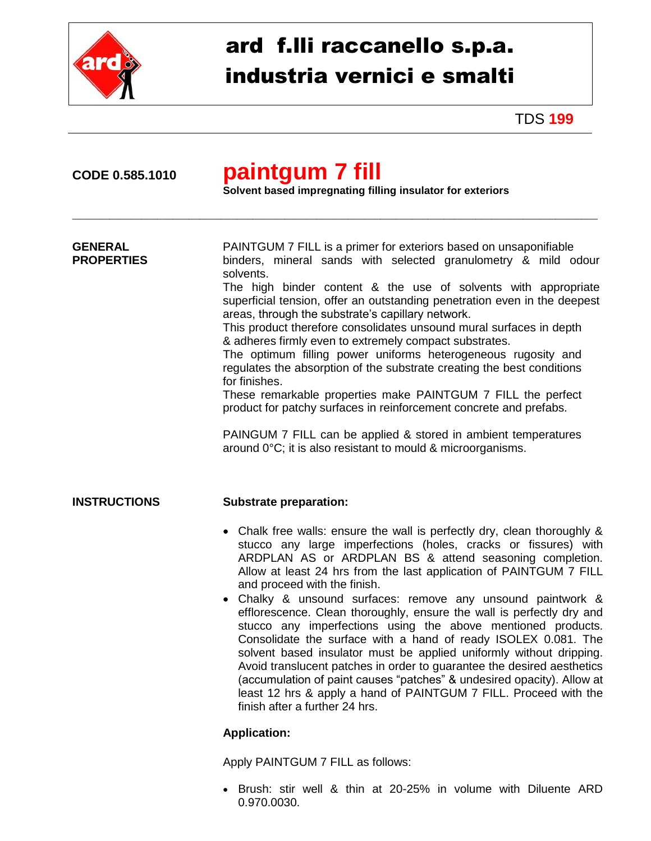

## ard f.lli raccanello s.p.a. industria vernici e smalti

TDS **199**

## **CODE 0.585.1010 paintgum 7 fill**

**Solvent based impregnating filling insulator for exteriors**

\_\_\_\_\_\_\_\_\_\_\_\_\_\_\_\_\_\_\_\_\_\_\_\_\_\_\_\_\_\_\_\_\_\_\_\_\_\_\_\_\_\_\_\_\_\_\_\_\_\_\_\_\_\_\_\_\_\_\_\_\_\_\_\_\_\_\_\_\_\_\_\_\_\_\_\_\_\_\_\_\_\_\_\_\_\_\_\_\_\_\_\_\_\_\_\_\_\_\_

| <b>GENERAL</b><br><b>PROPERTIES</b> | PAINTGUM 7 FILL is a primer for exteriors based on unsaponifiable<br>binders, mineral sands with selected granulometry & mild odour<br>solvents.<br>The high binder content & the use of solvents with appropriate<br>superficial tension, offer an outstanding penetration even in the deepest<br>areas, through the substrate's capillary network.<br>This product therefore consolidates unsound mural surfaces in depth<br>& adheres firmly even to extremely compact substrates.<br>The optimum filling power uniforms heterogeneous rugosity and<br>regulates the absorption of the substrate creating the best conditions<br>for finishes.<br>These remarkable properties make PAINTGUM 7 FILL the perfect<br>product for patchy surfaces in reinforcement concrete and prefabs.<br>PAINGUM 7 FILL can be applied & stored in ambient temperatures<br>around 0°C; it is also resistant to mould & microorganisms. |
|-------------------------------------|--------------------------------------------------------------------------------------------------------------------------------------------------------------------------------------------------------------------------------------------------------------------------------------------------------------------------------------------------------------------------------------------------------------------------------------------------------------------------------------------------------------------------------------------------------------------------------------------------------------------------------------------------------------------------------------------------------------------------------------------------------------------------------------------------------------------------------------------------------------------------------------------------------------------------|
| <b>INSTRUCTIONS</b>                 | <b>Substrate preparation:</b><br>• Chalk free walls: ensure the wall is perfectly dry, clean thoroughly &<br>stucco any large imperfections (holes, cracks or fissures) with<br>ARDPLAN AS or ARDPLAN BS & attend seasoning completion.<br>Allow at least 24 hrs from the last application of PAINTGUM 7 FILL<br>and proceed with the finish.<br>• Chalky & unsound surfaces: remove any unsound paintwork &<br>efflorescence. Clean thoroughly, ensure the wall is perfectly dry and<br>stucco any imperfections using the above mentioned products.<br>Consolidate the surface with a hand of ready ISOLEX 0.081. The<br>solvent based insulator must be applied uniformly without dripping.<br>Avoid translucent patches in order to guarantee the desired aesthetics<br>(accumulation of paint causes "patches" & undesired opacity). Allow at<br>least 12 hrs & apply a hand of PAINTGUM 7 FILL. Proceed with the   |

## **Application:**

Apply PAINTGUM 7 FILL as follows:

finish after a further 24 hrs.

 Brush: stir well & thin at 20-25% in volume with Diluente ARD 0.970.0030.